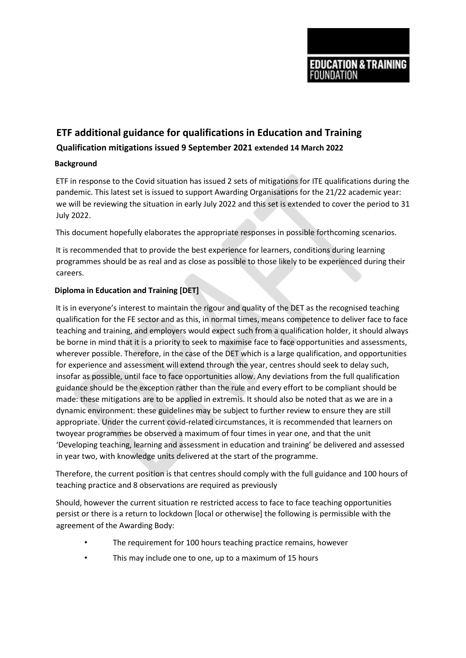# **ETF additional guidance for qualifications in Education and Training Qualification mitigations issued 9 September 2021 extended 14 March 2022**

## **Background**

ETF in response to the Covid situation has issued 2 sets of mitigations for ITE qualifications during the pandemic. This latest set is issued to support Awarding Organisations for the 21/22 academic year: we will be reviewing the situation in early July 2022 and this set is extended to cover the period to 31 July 2022.

This document hopefully elaborates the appropriate responses in possible forthcoming scenarios.

It is recommended that to provide the best experience for learners, conditions during learning programmes should be as real and as close as possible to those likely to be experienced during their careers.

## **Diploma in Education and Training [DET]**

It is in everyone's interest to maintain the rigour and quality of the DET as the recognised teaching qualification for the FE sector and as this, in normal times, means competence to deliver face to face teaching and training, and employers would expect such from a qualification holder, it should always be borne in mind that it is a priority to seek to maximise face to face opportunities and assessments, wherever possible. Therefore, in the case of the DET which is a large qualification, and opportunities for experience and assessment will extend through the year, centres should seek to delay such, insofar as possible, until face to face opportunities allow. Any deviations from the full qualification guidance should be the exception rather than the rule and every effort to be compliant should be made: these mitigations are to be applied in extremis. It should also be noted that as we are in a dynamic environment: these guidelines may be subject to further review to ensure they are still appropriate. Under the current covid-related circumstances, it is recommended that learners on twoyear programmes be observed a maximum of four times in year one, and that the unit 'Developing teaching, learning and assessment in education and training' be delivered and assessed in year two, with knowledge units delivered at the start of the programme.

Therefore, the current position is that centres should comply with the full guidance and 100 hours of teaching practice and 8 observations are required as previously

Should, however the current situation re restricted access to face to face teaching opportunities persist or there is a return to lockdown [local or otherwise] the following is permissible with the agreement of the Awarding Body:

- The requirement for 100 hours teaching practice remains, however
- This may include one to one, up to a maximum of 15 hours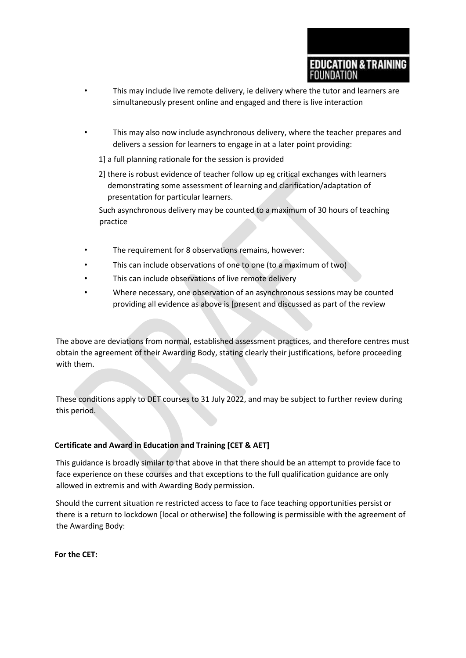- This may include live remote delivery, ie delivery where the tutor and learners are simultaneously present online and engaged and there is live interaction
- This may also now include asynchronous delivery, where the teacher prepares and delivers a session for learners to engage in at a later point providing:

1] a full planning rationale for the session is provided

2] there is robust evidence of teacher follow up eg critical exchanges with learners demonstrating some assessment of learning and clarification/adaptation of presentation for particular learners.

Such asynchronous delivery may be counted to a maximum of 30 hours of teaching practice

- The requirement for 8 observations remains, however:
- This can include observations of one to one (to a maximum of two)
- This can include observations of live remote delivery
- Where necessary, one observation of an asynchronous sessions may be counted providing all evidence as above is [present and discussed as part of the review

The above are deviations from normal, established assessment practices, and therefore centres must obtain the agreement of their Awarding Body, stating clearly their justifications, before proceeding with them.

These conditions apply to DET courses to 31 July 2022, and may be subject to further review during this period.

## **Certificate and Award in Education and Training [CET & AET]**

This guidance is broadly similar to that above in that there should be an attempt to provide face to face experience on these courses and that exceptions to the full qualification guidance are only allowed in extremis and with Awarding Body permission.

Should the current situation re restricted access to face to face teaching opportunities persist or there is a return to lockdown [local or otherwise] the following is permissible with the agreement of the Awarding Body:

**For the CET:**